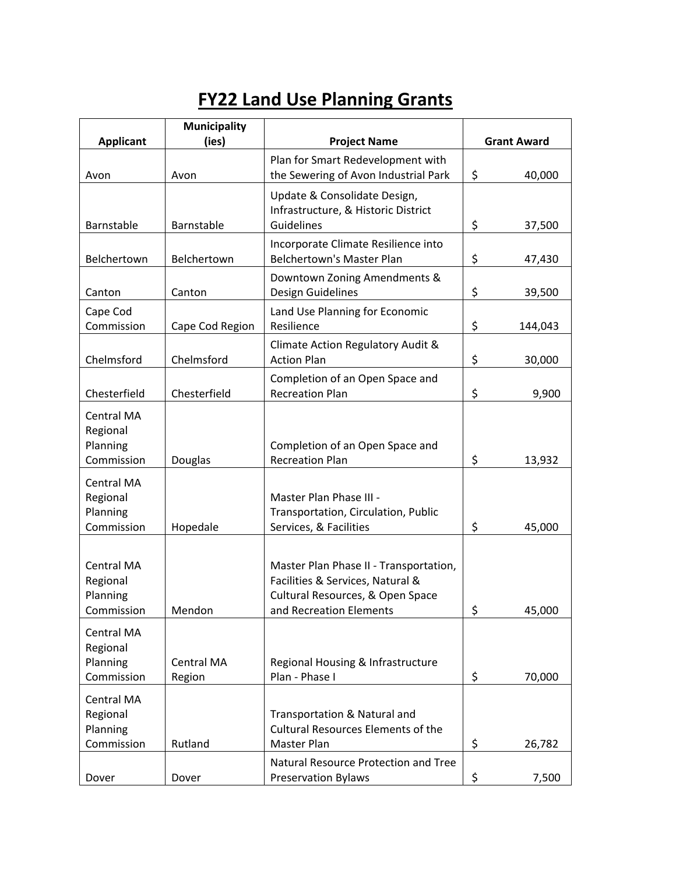## **FY22 Land Use Planning Grants**

|                                                  | <b>Municipality</b>  |                                                                                                                                           |                    |
|--------------------------------------------------|----------------------|-------------------------------------------------------------------------------------------------------------------------------------------|--------------------|
| <b>Applicant</b>                                 | (ies)                | <b>Project Name</b>                                                                                                                       | <b>Grant Award</b> |
| Avon                                             | Avon                 | Plan for Smart Redevelopment with<br>the Sewering of Avon Industrial Park                                                                 | \$<br>40,000       |
| Barnstable                                       | Barnstable           | Update & Consolidate Design,<br>Infrastructure, & Historic District<br>Guidelines                                                         | \$<br>37,500       |
| Belchertown                                      | Belchertown          | Incorporate Climate Resilience into<br><b>Belchertown's Master Plan</b>                                                                   | \$<br>47,430       |
| Canton                                           | Canton               | Downtown Zoning Amendments &<br>Design Guidelines                                                                                         | \$<br>39,500       |
| Cape Cod<br>Commission                           | Cape Cod Region      | Land Use Planning for Economic<br>Resilience                                                                                              | \$<br>144,043      |
| Chelmsford                                       | Chelmsford           | Climate Action Regulatory Audit &<br><b>Action Plan</b>                                                                                   | \$<br>30,000       |
| Chesterfield                                     | Chesterfield         | Completion of an Open Space and<br><b>Recreation Plan</b>                                                                                 | \$<br>9,900        |
| Central MA<br>Regional<br>Planning<br>Commission | Douglas              | Completion of an Open Space and<br><b>Recreation Plan</b>                                                                                 | \$<br>13,932       |
| Central MA<br>Regional<br>Planning<br>Commission | Hopedale             | Master Plan Phase III -<br>Transportation, Circulation, Public<br>Services, & Facilities                                                  | \$<br>45,000       |
| Central MA<br>Regional<br>Planning<br>Commission | Mendon               | Master Plan Phase II - Transportation,<br>Facilities & Services, Natural &<br>Cultural Resources, & Open Space<br>and Recreation Elements | \$<br>45.000       |
| Central MA<br>Regional<br>Planning<br>Commission | Central MA<br>Region | Regional Housing & Infrastructure<br>Plan - Phase I                                                                                       | \$<br>70,000       |
| Central MA<br>Regional<br>Planning<br>Commission | Rutland              | Transportation & Natural and<br><b>Cultural Resources Elements of the</b><br>Master Plan                                                  | \$<br>26,782       |
| Dover                                            | Dover                | Natural Resource Protection and Tree<br><b>Preservation Bylaws</b>                                                                        | \$<br>7,500        |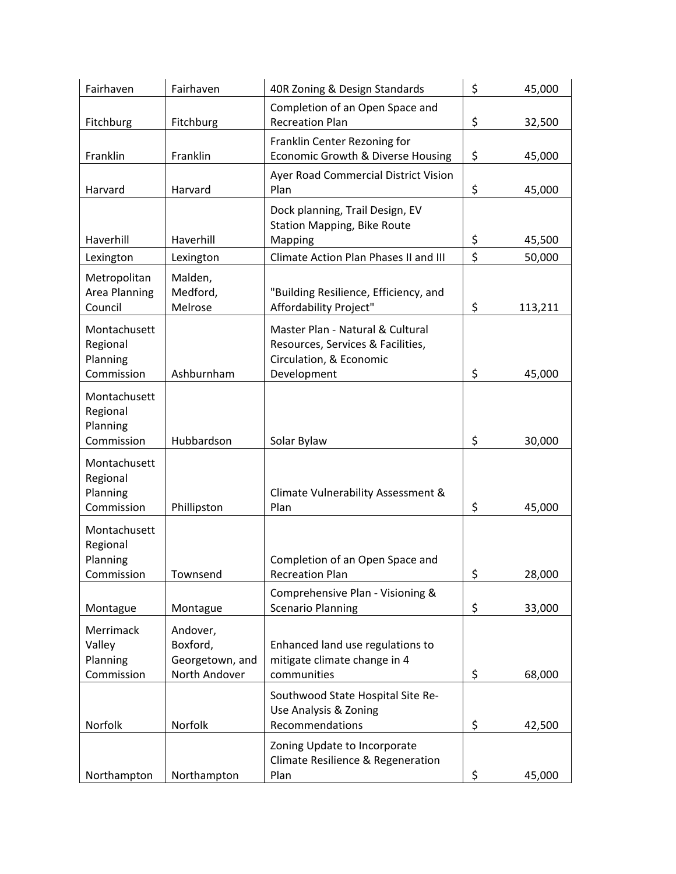| Fairhaven                                          | Fairhaven                                                | 40R Zoning & Design Standards                                                                                   | \$<br>45,000  |
|----------------------------------------------------|----------------------------------------------------------|-----------------------------------------------------------------------------------------------------------------|---------------|
| Fitchburg                                          | Fitchburg                                                | Completion of an Open Space and<br><b>Recreation Plan</b>                                                       | \$<br>32,500  |
| Franklin                                           | Franklin                                                 | Franklin Center Rezoning for<br>Economic Growth & Diverse Housing                                               | \$<br>45,000  |
| Harvard                                            | Harvard                                                  | Ayer Road Commercial District Vision<br>Plan                                                                    | \$<br>45,000  |
| Haverhill                                          | Haverhill                                                | Dock planning, Trail Design, EV<br><b>Station Mapping, Bike Route</b><br>Mapping                                | \$<br>45,500  |
| Lexington                                          | Lexington                                                | Climate Action Plan Phases II and III                                                                           | \$<br>50,000  |
| Metropolitan<br>Area Planning<br>Council           | Malden,<br>Medford,<br>Melrose                           | "Building Resilience, Efficiency, and<br>Affordability Project"                                                 | \$<br>113,211 |
| Montachusett<br>Regional<br>Planning<br>Commission | Ashburnham                                               | Master Plan - Natural & Cultural<br>Resources, Services & Facilities,<br>Circulation, & Economic<br>Development | \$<br>45,000  |
| Montachusett<br>Regional<br>Planning<br>Commission | Hubbardson                                               | Solar Bylaw                                                                                                     | \$<br>30,000  |
| Montachusett<br>Regional<br>Planning<br>Commission | Phillipston                                              | Climate Vulnerability Assessment &<br>Plan                                                                      | \$<br>45,000  |
| Montachusett<br>Regional<br>Planning<br>Commission | Townsend                                                 | Completion of an Open Space and<br><b>Recreation Plan</b>                                                       | \$<br>28,000  |
| Montague                                           | Montague                                                 | Comprehensive Plan - Visioning &<br><b>Scenario Planning</b>                                                    | \$<br>33,000  |
| Merrimack<br>Valley<br>Planning<br>Commission      | Andover,<br>Boxford,<br>Georgetown, and<br>North Andover | Enhanced land use regulations to<br>mitigate climate change in 4<br>communities                                 | \$<br>68,000  |
| Norfolk                                            | Norfolk                                                  | Southwood State Hospital Site Re-<br>Use Analysis & Zoning<br>Recommendations                                   | \$<br>42,500  |
| Northampton                                        | Northampton                                              | Zoning Update to Incorporate<br>Climate Resilience & Regeneration<br>Plan                                       | \$<br>45,000  |